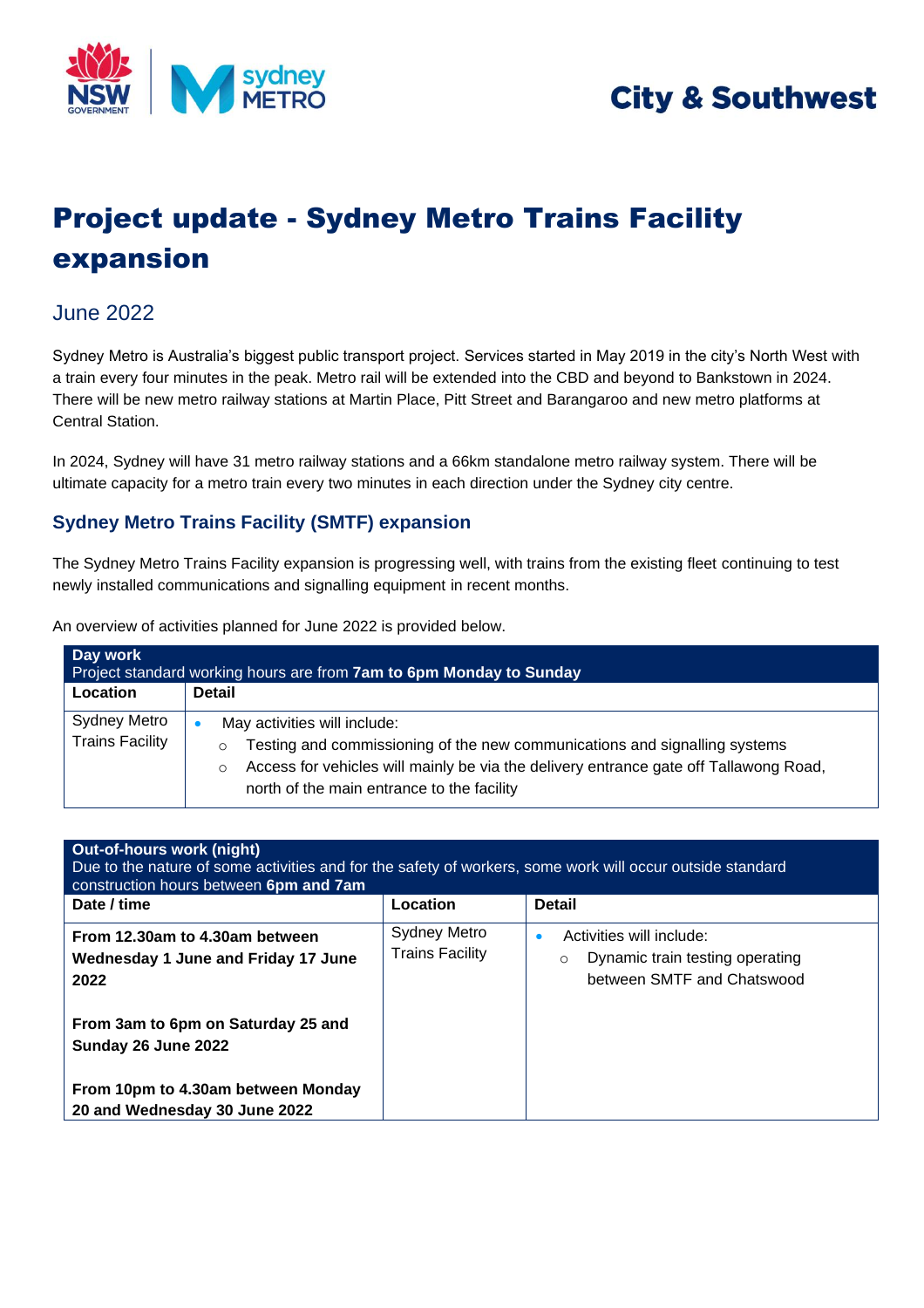

## **City & Southwest**

# Project update - Sydney Metro Trains Facility expansion

## June 2022

Sydney Metro is Australia's biggest public transport project. Services started in May 2019 in the city's North West with a train every four minutes in the peak. Metro rail will be extended into the CBD and beyond to Bankstown in 2024. There will be new metro railway stations at Martin Place, Pitt Street and Barangaroo and new metro platforms at Central Station.

In 2024, Sydney will have 31 metro railway stations and a 66km standalone metro railway system. There will be ultimate capacity for a metro train every two minutes in each direction under the Sydney city centre.

### **Sydney Metro Trains Facility (SMTF) expansion**

The Sydney Metro Trains Facility expansion is progressing well, with trains from the existing fleet continuing to test newly installed communications and signalling equipment in recent months.

An overview of activities planned for June 2022 is provided below.

| Day work<br>Project standard working hours are from 7am to 6pm Monday to Sunday |                                                                                                                                                                                                                                                                                |  |  |
|---------------------------------------------------------------------------------|--------------------------------------------------------------------------------------------------------------------------------------------------------------------------------------------------------------------------------------------------------------------------------|--|--|
| Location                                                                        | <b>Detail</b>                                                                                                                                                                                                                                                                  |  |  |
| <b>Sydney Metro</b><br><b>Trains Facility</b>                                   | May activities will include:<br>$\bullet$<br>Testing and commissioning of the new communications and signalling systems<br>O<br>Access for vehicles will mainly be via the delivery entrance gate off Tallawong Road,<br>$\circ$<br>north of the main entrance to the facility |  |  |

| <b>Out-of-hours work (night)</b><br>Due to the nature of some activities and for the safety of workers, some work will occur outside standard<br>construction hours between 6pm and 7am |                                        |                                                                                                      |  |
|-----------------------------------------------------------------------------------------------------------------------------------------------------------------------------------------|----------------------------------------|------------------------------------------------------------------------------------------------------|--|
| Date / time                                                                                                                                                                             | Location                               | <b>Detail</b>                                                                                        |  |
| From 12.30am to 4.30am between<br>Wednesday 1 June and Friday 17 June<br>2022                                                                                                           | Sydney Metro<br><b>Trains Facility</b> | Activities will include:<br>Dynamic train testing operating<br>$\circ$<br>between SMTF and Chatswood |  |
| From 3am to 6pm on Saturday 25 and<br>Sunday 26 June 2022                                                                                                                               |                                        |                                                                                                      |  |
| From 10pm to 4.30am between Monday<br>20 and Wednesday 30 June 2022                                                                                                                     |                                        |                                                                                                      |  |